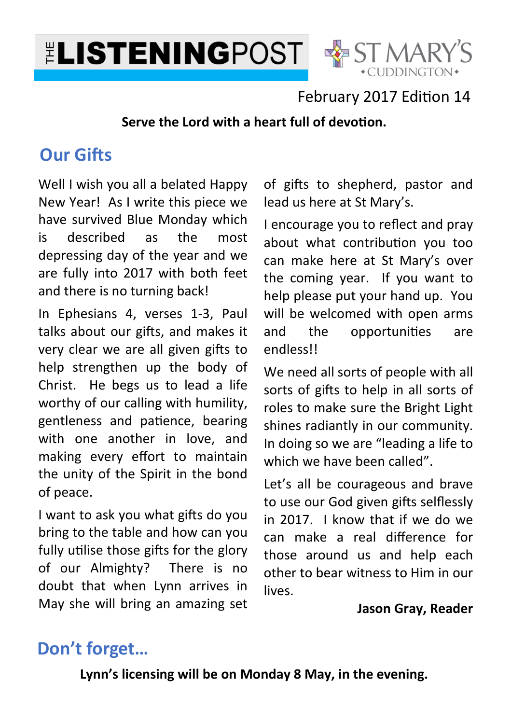



### February 2017 Edition 14

#### Serve the Lord with a heart full of devotion.

# **Our Gifts**

Well I wish you all a belated Happy New Year! As I write this piece we have survived Blue Monday which is described as the most depressing day of the year and we are fully into 2017 with both feet and there is no turning back!

In Ephesians 4, verses 1-3, Paul talks about our gifts, and makes it very clear we are all given gifts to help strengthen up the body of Christ. He begs us to lead a life worthy of our calling with humility, gentleness and patience, bearing with one another in love, and making every effort to maintain the unity of the Spirit in the bond of peace.

I want to ask you what gifts do you bring to the table and how can you fully utilise those gifts for the glory of our Almighty? There is no doubt that when Lynn arrives in May she will bring an amazing set

of gifts to shepherd, pastor and lead us here at St Mary's.

I encourage you to reflect and pray about what contribution you too can make here at St Mary's over the coming year. If you want to help please put your hand up. You will be welcomed with open arms and the opportunities are endless!!

We need all sorts of people with all sorts of gifts to help in all sorts of roles to make sure the Bright Light shines radiantly in our community. In doing so we are "leading a life to which we have been called".

Let's all be courageous and brave to use our God given gifts selflessly in 2017. I know that if we do we can make a real difference for those around us and help each other to bear witness to Him in our lives.

#### **Jason Gray, Reader**

# **Don't forget…**

**Lynn's licensing will be on Monday 8 May, in the evening.**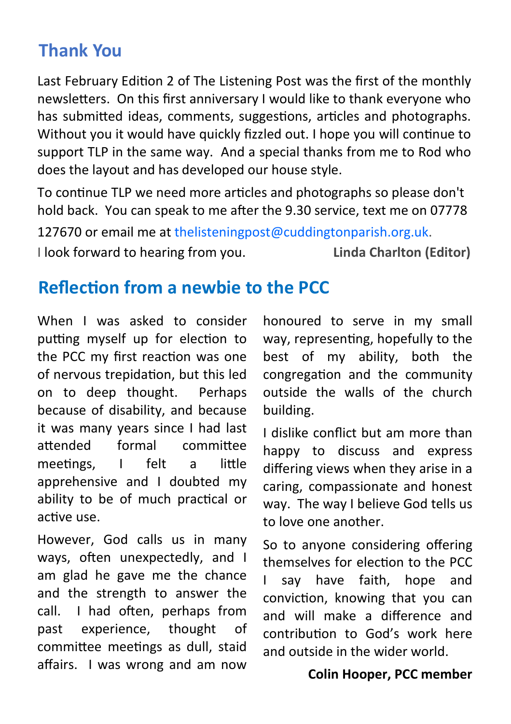### **Thank You**

Last February Edition 2 of The Listening Post was the first of the monthly newsletters. On this first anniversary I would like to thank everyone who has submitted ideas, comments, suggestions, articles and photographs. Without you it would have quickly fizzled out. I hope you will continue to support TLP in the same way. And a special thanks from me to Rod who does the layout and has developed our house style.

To continue TLP we need more articles and photographs so please don't hold back. You can speak to me after the 9.30 service, text me on 07778

127670 or email me at thelisteningpost@cuddingtonparish.org.uk. I look forward to hearing from you. **Linda Charlton (Editor)** 

## **Reflection from a newbie to the PCC**

When I was asked to consider putting myself up for election to the PCC my first reaction was one of nervous trepidation, but this led on to deep thought. Perhaps because of disability, and because it was many years since I had last attended formal committee meetings, I felt a little apprehensive and I doubted my ability to be of much practical or active use.

However, God calls us in many ways, often unexpectedly, and I am glad he gave me the chance and the strength to answer the call. I had often, perhaps from past experience, thought of committee meetings as dull, staid affairs. I was wrong and am now

honoured to serve in my small way, representing, hopefully to the best of my ability, both the congregation and the community outside the walls of the church building.

I dislike conflict but am more than happy to discuss and express differing views when they arise in a caring, compassionate and honest way. The way I believe God tells us to love one another.

So to anyone considering offering themselves for election to the PCC I say have faith, hope and conviction, knowing that you can and will make a difference and contribution to God's work here and outside in the wider world.

#### **Colin Hooper, PCC member**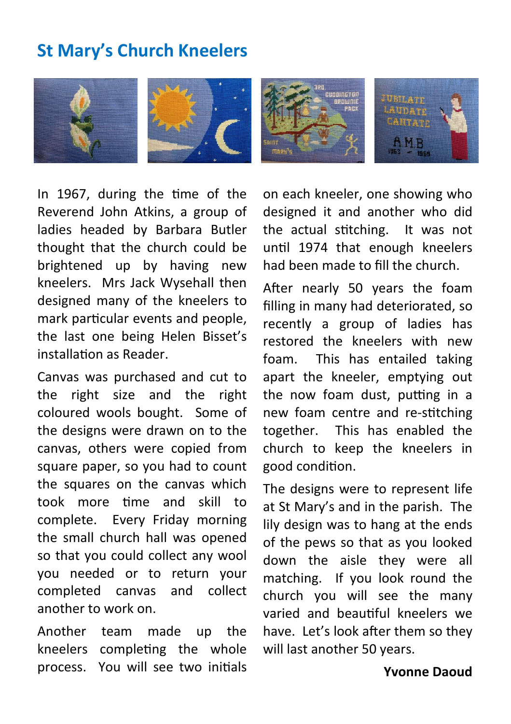# **St Mary's Church Kneelers**



In 1967, during the time of the Reverend John Atkins, a group of ladies headed by Barbara Butler thought that the church could be brightened up by having new kneelers. Mrs Jack Wysehall then designed many of the kneelers to mark particular events and people. the last one being Helen Bisset's installation as Reader.

Canvas was purchased and cut to the right size and the right coloured wools bought. Some of the designs were drawn on to the canvas, others were copied from square paper, so you had to count the squares on the canvas which took more time and skill to complete. Every Friday morning the small church hall was opened so that you could collect any wool you needed or to return your completed canvas and collect another to work on.

Another team made up the kneelers completing the whole process. You will see two initials

on each kneeler, one showing who designed it and another who did the actual stitching. It was not until 1974 that enough kneelers had been made to fill the church.

After nearly 50 years the foam filling in many had deteriorated, so recently a group of ladies has restored the kneelers with new foam. This has entailed taking apart the kneeler, emptying out the now foam dust, putting in a new foam centre and re-stitching together. This has enabled the church to keep the kneelers in good condition.

The designs were to represent life at St Mary's and in the parish. The lily design was to hang at the ends of the pews so that as you looked down the aisle they were all matching. If you look round the church you will see the many varied and beautiful kneelers we have. Let's look after them so they will last another 50 years.